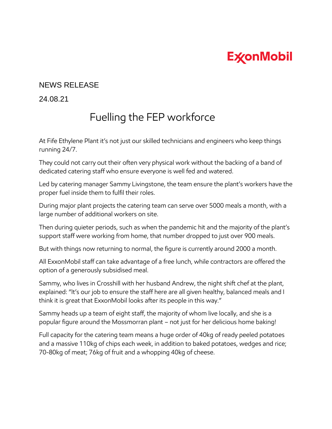## **ExconMobil**

## NEWS RELEASE

24.08.21

## Fuelling the FEP workforce

At Fife Ethylene Plant it's not just our skilled technicians and engineers who keep things running 24/7.

They could not carry out their often very physical work without the backing of a band of dedicated catering staff who ensure everyone is well fed and watered.

Led by catering manager Sammy Livingstone, the team ensure the plant's workers have the proper fuel inside them to fulfil their roles.

During major plant projects the catering team can serve over 5000 meals a month, with a large number of additional workers on site.

Then during quieter periods, such as when the pandemic hit and the majority of the plant's support staff were working from home, that number dropped to just over 900 meals.

But with things now returning to normal, the figure is currently around 2000 a month.

All ExxonMobil staff can take advantage of a free lunch, while contractors are offered the option of a generously subsidised meal.

Sammy, who lives in Crosshill with her husband Andrew, the night shift chef at the plant, explained: "It's our job to ensure the staff here are all given healthy, balanced meals and I think it is great that ExxonMobil looks after its people in this way."

Sammy heads up a team of eight staff, the majority of whom live locally, and she is a popular figure around the Mossmorran plant – not just for her delicious home baking!

Full capacity for the catering team means a huge order of 40kg of ready peeled potatoes and a massive 110kg of chips each week, in addition to baked potatoes, wedges and rice; 70-80kg of meat; 76kg of fruit and a whopping 40kg of cheese.